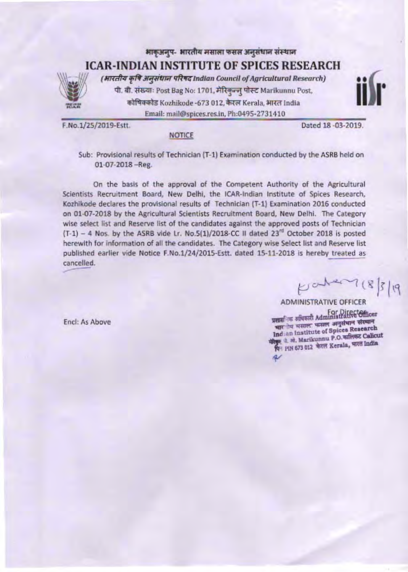# भाक्अनूप- भारतीय मसाला फसल अनुसंधान संस्थान **ICAR-INDIAN INSTITUTE OF SPICES RESEARCH** (भारतीय कृषि अनुसंधान परिषद Indian Council of Agricultural Research) पी. बी. संख्याः Post Bag No: 1701, मेरिकुन्जु पोस्ट Marikunnu Post,

कोषिक्कोड Kozhikode -673 012, केरल Kerala, भारत India Email: mail@spices.res.in, Ph:0495-2731410

F.No.1/25/2019-Estt.

Dated 18 -03-2019.

### **NOTICE**

Sub: Provisional results of Technician (T-1) Examination conducted by the ASRB held on 01-07-2018 -Reg.

On the basis of the approval of the Competent Authority of the Agricultural Scientists Recruitment Board, New Delhi, the ICAR-Indian Institute of Spices Research, Kozhikode declares the provisional results of Technician (T-1) Examination 2016 conducted on 01-07-2018 by the Agricultural Scientists Recruitment Board, New Delhi. The Category wise select list and Reserve list of the candidates against the approved posts of Technician  $(T-1)$  - 4 Nos. by the ASRB vide Lr. No.5(1)/2018-CC II dated 23<sup>rd</sup> October 2018 is posted herewith for information of all the candidates. The Category wise Select list and Reserve list published earlier vide Notice F.No.1/24/2015-Estt. dated 15-11-2018 is hereby treated as cancelled.

 $F^{\text{other}}(8)$ 

Encl: As Above

प्रसासनिक अधिकारी Administrate Officer चार तेय मसाल फसल अनुसंधान संस्थान Indian Institute of Spices Research रिकुष्ट थे. अरे. Marikunnu P.O. कालिकट Calicut थिन PIN 673 012 फेरल Kerala, मारत India  $\overline{\mathcal{U}}$ 

**ADMINISTRATIVE OFFICER**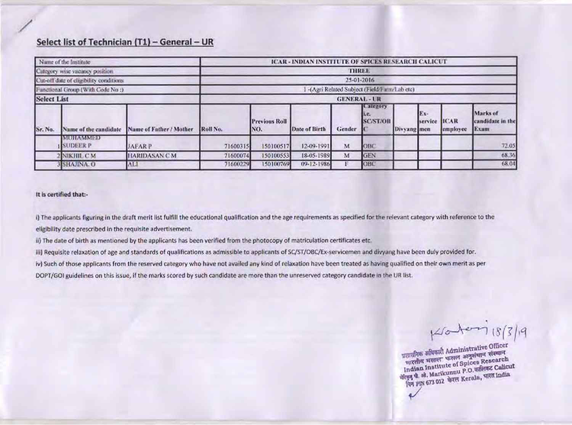### Select list of Technician (T1) - General - UR

| Name of the Institute                                                                             |                                |                         | ICAR - INDIAN INSTITUTE OF SPICES RESEARCH CALICUT |                                                                                |                      |        |                                              |             |                |                          |                                      |  |  |
|---------------------------------------------------------------------------------------------------|--------------------------------|-------------------------|----------------------------------------------------|--------------------------------------------------------------------------------|----------------------|--------|----------------------------------------------|-------------|----------------|--------------------------|--------------------------------------|--|--|
|                                                                                                   | Category wise vacancy position |                         | THREE                                              |                                                                                |                      |        |                                              |             |                |                          |                                      |  |  |
| Cut-off date of cligibility conditions<br>Functional Group (With Code No :)<br><b>Select List</b> |                                |                         |                                                    | 25-01-2016<br>-(Agri Related Subject (Field/Farm/Lab etc)<br><b>GENERAL-UR</b> |                      |        |                                              |             |                |                          |                                      |  |  |
|                                                                                                   |                                |                         |                                                    |                                                                                |                      |        |                                              |             |                |                          |                                      |  |  |
|                                                                                                   |                                |                         |                                                    |                                                                                |                      |        |                                              |             |                |                          |                                      |  |  |
| Sr. No.                                                                                           | Name of the candidate          | Name of Father / Mother | Roll No.                                           | <b>Previous Roll</b><br>NO.                                                    | <b>Date of Birth</b> | Gender | <b>Catcgory</b><br>$1.0-$<br><b>SC/ST/OB</b> | Divyang men | Ex-<br>service | <b>IICAR</b><br>employee | Marks of<br>candidate in the<br>Exam |  |  |
|                                                                                                   | MCHAMMED<br><b>SUDEER P</b>    | JAFAR P                 | 71600315                                           | 150100517                                                                      | 12-09-1991           | M      | OBC                                          |             |                |                          | 72.05                                |  |  |
|                                                                                                   | NIKHIL CM                      | <b>HARIDASAN CM</b>     | 71600074                                           | 150100553                                                                      | 18-05-1989           | M      | GEN                                          |             |                |                          | 68.36                                |  |  |
|                                                                                                   | 3 SHAJINA. O                   | ALI.                    | 71600229                                           | 150100769                                                                      | 09-12-1986           | F      | OBC                                          |             |                |                          | 68.04                                |  |  |

#### It is certified that:-

i) The applicants figuring in the draft merit list fulfill the educational qualification and the age requirements as specified for the relevant category with reference to the eligibility date prescribed in the requisite advertisement.

ii) The date of birth as mentioned by the applicants has been verified from the photocopy of matriculation certificates etc.

iii) Requisite relaxation of age and standards of qualifications as admissible to applicants of SC/ST/O8C/Ex-servicemen and divyang have been duly provided for. iv) Such of those applicants from the reserved category who have not availed any kind of relaxation have been treated as having qualified on their own merit as per

DOPT/GOI guidelines on this issue, if the marks scored by such candidate are more than the unreserved category candidate in the UR list.

Kronter 18/3/19

अलासनिक अभिकारी Administrative Officer भारतीय मसाल फसल अनुसंधान संस्थान Indian Institute of Spices Research गोरकुड़ पी. औ. Marikunnu P.O. कालिकट Calicut पिन FIN 673 012 फेरल Kerala, पारत india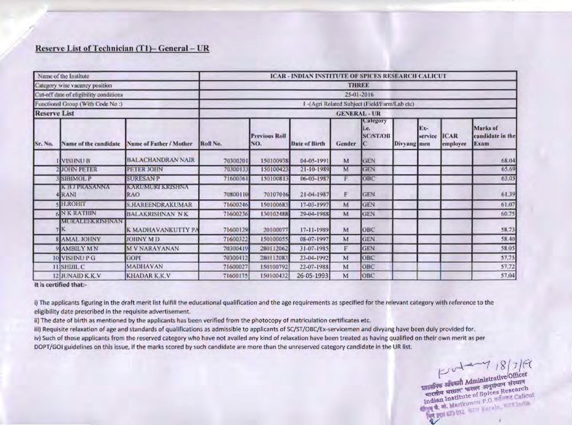### Reserve List of Technician (T1)- General - UR

| Name of the Institute<br>Category wise vacancy position<br>Cut-off date of eligibility conditions |                              |                          | ICAR - INDIAN INSTITUTE OF SPICES RESEARCH CALICUT<br><b>THREE</b> |                                  |                      |        |                                              |             |                |                  |                                      |  |  |
|---------------------------------------------------------------------------------------------------|------------------------------|--------------------------|--------------------------------------------------------------------|----------------------------------|----------------------|--------|----------------------------------------------|-------------|----------------|------------------|--------------------------------------|--|--|
|                                                                                                   |                              |                          |                                                                    |                                  |                      |        |                                              |             |                |                  |                                      |  |  |
|                                                                                                   |                              |                          |                                                                    | Functional Group (With Code No:) |                      |        | 1-(Agri Related Subject (Field/Farm/Lab etc) |             |                |                  |                                      |  |  |
| <b>Reserve List</b>                                                                               |                              |                          | <b>GENERAL - UR</b>                                                |                                  |                      |        |                                              |             |                |                  |                                      |  |  |
| Sr. No.                                                                                           | Name of the candidate        | Name of Father / Mother  | Roll No.                                                           | <b>Previous Roll</b><br>NO.      | <b>Date of Birth</b> | Gender | Calegory<br>li.e.<br><b>SC/ST/OB</b>         | Divyang men | Ex-<br>service | ICAR<br>employee | Marks of<br>candidate in the<br>Exam |  |  |
|                                                                                                   | <b>VISHNU B</b>              | <b>BALACHANDRAN NAIR</b> | 70300201                                                           | 150100938                        | 04-05-1991           | M      | GEN                                          |             |                |                  | 68.04                                |  |  |
|                                                                                                   | <b>2 JOHN PETER</b>          | PETER JOHN               | 70300133                                                           | 150100423                        | 21-10-1989           | M      | <b>GEN</b>                                   |             |                |                  | 65.69                                |  |  |
|                                                                                                   | <b>SIBIMOL P</b>             | <b>SURESAN P</b>         | 71600361                                                           | 150100813                        | 06-05-1987           | F      | OBC                                          |             |                |                  | 63,05                                |  |  |
|                                                                                                   | K BUILGASANNA<br><b>RANI</b> | KARUMURI KRISHNA<br>RAO  | 70800110                                                           | 70107016                         | 21-04-1987           | F      | <b>GEN</b>                                   |             |                |                  | 61.39                                |  |  |
|                                                                                                   | <b>H.ROHIT</b>               | <b>S.HAREENDRAKUMAR</b>  | 71600246                                                           | 150100683                        | 17-03-1997           | м      | <b>GEN</b>                                   |             |                |                  | 61.07                                |  |  |
|                                                                                                   | <b>NKRATHIN</b>              | <b>BALAKRISHNAN NK</b>   | 71600236                                                           | 130102488                        | 29-04-1988           | M      | <b>GEN</b>                                   |             |                |                  | 60.75                                |  |  |
|                                                                                                   | MURATHER STINGER             | K MADHAVANKUTTY PA       | 71600129                                                           | 20100077                         | 17-11-1989           | M      | OBC                                          |             |                |                  | 58.73                                |  |  |
|                                                                                                   | <b>8 AMAL JOHNY</b>          | <b>JOHNY MD</b>          | 71600322                                                           | 150100055                        | 08-07-1997           | M      | <b>GEN</b>                                   |             |                |                  | 58.40                                |  |  |
|                                                                                                   | 9 AMBILY MN                  | <b>M V NARAYANAN</b>     | 70300419                                                           | 280112062                        | 31-07-1985           | F      | <b>GEN</b>                                   |             |                |                  | 58.05                                |  |  |
|                                                                                                   | <b>IO VISHNUP G</b>          | GOPT                     | 70300412                                                           | 280112083                        | 23-04-1992           | M      | ОВС                                          |             |                |                  | 57.75                                |  |  |
|                                                                                                   | 11 SHUIL C                   | <b>MADHAVAN</b>          | 71600027                                                           | 150100792                        | 22-07-1988           | M      | OBC                                          |             |                |                  | 57.72                                |  |  |
|                                                                                                   | 12 JUNAID K.K.V              | <b>KHADAR K.K.V</b>      | 71600175                                                           | 150100432                        | 26-05-1993           | M      | OBC                                          |             |                |                  | 57,04                                |  |  |

It is certified that:-

i) The applicants figuring in the draft merit list fulfill the educational qualification and the age requirements as specified for the relevant category with reference to the eligibility date prescribed in the requisite advertisement.

ii) The date of birth as mentioned by the applicants has been verified from the photocopy of matriculation certificates etc.

iii) Requisite relaxation of age and standards of qualifications as admissible to applicants of SC/ST/OBC/Ex-servicemen and divyang have been duly provided for.

iv) Such of those applicants from the reserved category who have not availed any kind of relaxation have been treated as having qualified on their own merit as per DOPT/GOI guidelines on this issue, if the marks scored by such candidate are more than the unreserved category candidate in the UR list.

चारतीय भसाल कसल अनुसंधान संस्थान Indian Institute of Spices Research May 4, m. Marikunnu P.O. walang Calicut Age pay any off ware Recible, with feature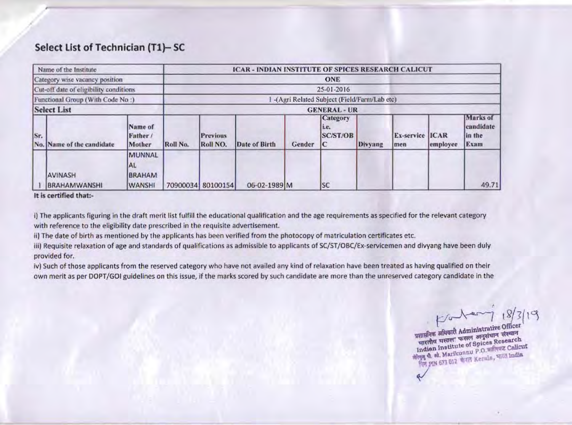## Select List of Technician (T1)-SC

|                                                                                                              | Name of the Institute                 |                                                        |          |                                             | <b>ICAR - INDIAN INSTITUTE OF SPICES RESEARCH CALICUT</b> |        |                                    |         |                               |          |                                         |  |
|--------------------------------------------------------------------------------------------------------------|---------------------------------------|--------------------------------------------------------|----------|---------------------------------------------|-----------------------------------------------------------|--------|------------------------------------|---------|-------------------------------|----------|-----------------------------------------|--|
| Category wise vacancy position<br>Cut-off date of eligibility conditions<br>Functional Group (With Code No:) |                                       |                                                        |          |                                             |                                                           |        |                                    |         |                               |          |                                         |  |
|                                                                                                              |                                       |                                                        |          | 25-01-2016                                  |                                                           |        |                                    |         |                               |          |                                         |  |
|                                                                                                              |                                       |                                                        |          | -(Agri Related Subject (Field/Farm/Lab etc) |                                                           |        |                                    |         |                               |          |                                         |  |
|                                                                                                              | <b>Select List</b>                    |                                                        |          |                                             |                                                           |        | <b>GENERAL - UR</b>                |         |                               |          |                                         |  |
| Sr.                                                                                                          | No. Name of the candidate             | Name of<br>Father /<br>Mother                          | Roll No. | <b>Previous</b><br>Roll NO.                 | Date of Birth                                             | Gender | <b>Category</b><br>Le.<br>SC/ST/OB | Divyang | <b>Ex-service ICAR</b><br>men | employee | Marks of<br>candidate<br>in the<br>Exam |  |
|                                                                                                              | <b>AVINASH</b><br><b>BRAHAMWANSHI</b> | <b>MUNNAL</b><br>IAL<br><b>BRAHAM</b><br><b>WANSHI</b> |          | 70900034 80100154                           | 06-02-1989 M                                              |        | <b>SC</b>                          |         |                               |          | 49.71                                   |  |

It is certified that:-

i) The applicants figuring in the draft merit list fulfill the educational qualification and the age requirements as specified for the relevant category with reference to the eligibility date prescribed in the requisite advertisement.

ii) The date of birth as mentioned by the applicants has been verified from the photocopy of matriculation certificates etc.

iii) Requisite relaxation of age and standards of qualifications as admissible to applicants of SC/ST/OBC/Ex-servicemen and divyang have been duly provided for.

iv) Such of those applicants from the reserved category who have not availed any kind of relaxation have been treated as having qualified on their own merit as per DOPT/GOI guidelines on this issue, if the marks scored by such candidate are more than the unreserved category candidate in the

Koker  $18/$ 

प्रशासनिक अभिकारी Administrative Officer भारतीय मसाल फसल अनुसंधान संस्थान Indian Institute of Spices Research Migg & st. Marikunnu P.O. wifers Calicut fter pin 673 012 with Kerala, vitte india